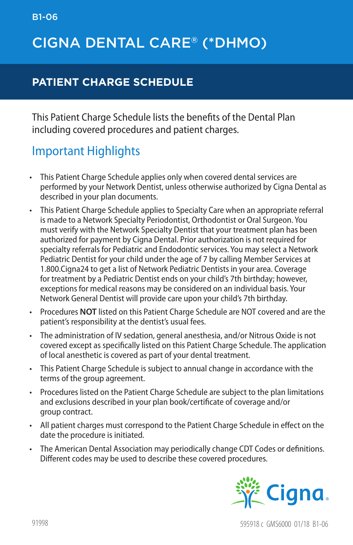## CIGNA DENTAL CARE® (\*DHMO)

#### **PATIENT CHARGE SCHEDULE**

This Patient Charge Schedule lists the benefits of the Dental Plan including covered procedures and patient charges.

#### Important Highlights

- This Patient Charge Schedule applies only when covered dental services are performed by your Network Dentist, unless otherwise authorized by Cigna Dental as described in your plan documents.
- • This Patient Charge Schedule applies to Specialty Care when an appropriate referral is made to a Network Specialty Periodontist, Orthodontist or Oral Surgeon. You must verify with the Network Specialty Dentist that your treatment plan has been authorized for payment by Cigna Dental. Prior authorization is not required for specialty referrals for Pediatric and Endodontic services. You may select a Network Pediatric Dentist for your child under the age of 7 by calling Member Services at 1.800.Cigna24 to get a list of Network Pediatric Dentists in your area. Coverage for treatment by a Pediatric Dentist ends on your child's 7th birthday; however, exceptions for medical reasons may be considered on an individual basis. Your Network General Dentist will provide care upon your child's 7th birthday.
- • Procedures **NOT** listed on this Patient Charge Schedule are NOT covered and are the patient's responsibility at the dentist's usual fees.
- • The administration of IV sedation, general anesthesia, and/or Nitrous Oxide is not covered except as specifically listed on this Patient Charge Schedule. The application of local anesthetic is covered as part of your dental treatment.
- This Patient Charge Schedule is subject to annual change in accordance with the terms of the group agreement.
- • Procedures listed on the Patient Charge Schedule are subject to the plan limitations and exclusions described in your plan book/certificate of coverage and/or group contract.
- • All patient charges must correspond to the Patient Charge Schedule in effect on the date the procedure is initiated.
- • The American Dental Association may periodically change CDT Codes or definitions. Different codes may be used to describe these covered procedures.

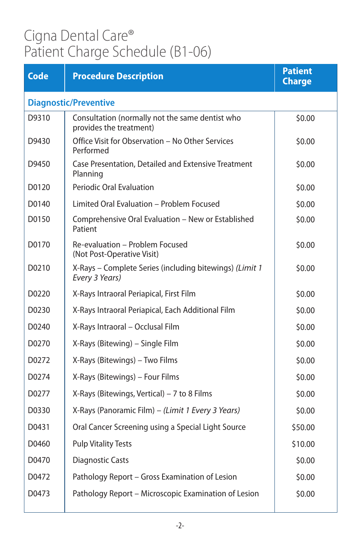| <b>Code</b>                  | <b>Procedure Description</b>                                               | <b>Patient</b><br><b>Charge</b> |
|------------------------------|----------------------------------------------------------------------------|---------------------------------|
| <b>Diagnostic/Preventive</b> |                                                                            |                                 |
| D9310                        | Consultation (normally not the same dentist who<br>provides the treatment) | \$0.00                          |
| D9430                        | Office Visit for Observation - No Other Services<br>Performed              | \$0.00                          |
| D9450                        | Case Presentation, Detailed and Extensive Treatment<br>Planning            | \$0.00                          |
| D0120                        | <b>Periodic Oral Evaluation</b>                                            | \$0.00                          |
| D0140                        | Limited Oral Evaluation - Problem Focused                                  | \$0.00                          |
| D0150                        | Comprehensive Oral Evaluation - New or Established<br>Patient              | \$0.00                          |
| D0170                        | Re-evaluation - Problem Focused<br>(Not Post-Operative Visit)              | \$0.00                          |
| D0210                        | X-Rays - Complete Series (including bitewings) (Limit 1<br>Every 3 Years)  | \$0.00                          |
| D0220                        | X-Rays Intraoral Periapical, First Film                                    | \$0.00                          |
| D0230                        | X-Rays Intraoral Periapical, Each Additional Film                          | \$0.00                          |
| D0240                        | X-Rays Intraoral - Occlusal Film                                           | \$0.00                          |
| D0270                        | X-Rays (Bitewing) - Single Film                                            | \$0.00                          |
| D0272                        | X-Rays (Bitewings) - Two Films                                             | \$0.00                          |
| D0274                        | X-Rays (Bitewings) - Four Films                                            | \$0.00                          |
| D0277                        | X-Rays (Bitewings, Vertical) $-7$ to 8 Films                               | \$0.00                          |
| D0330                        | X-Rays (Panoramic Film) - (Limit 1 Every 3 Years)                          | \$0.00                          |
| D0431                        | Oral Cancer Screening using a Special Light Source                         | \$50.00                         |
| D0460                        | <b>Pulp Vitality Tests</b>                                                 | \$10.00                         |
| D0470                        | <b>Diagnostic Casts</b>                                                    | \$0.00                          |
| D0472                        | Pathology Report - Gross Examination of Lesion                             | \$0.00                          |
| D0473                        | Pathology Report - Microscopic Examination of Lesion                       | \$0.00                          |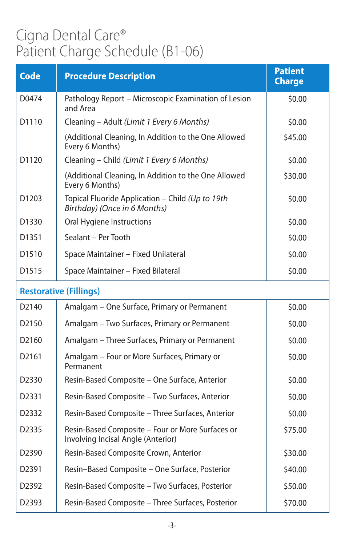| <b>Code</b>       | <b>Procedure Description</b>                                                           | <b>Patient</b><br><b>Charge</b> |
|-------------------|----------------------------------------------------------------------------------------|---------------------------------|
| D0474             | Pathology Report - Microscopic Examination of Lesion<br>and Area                       | \$0.00                          |
| D <sub>1110</sub> | Cleaning - Adult (Limit 1 Every 6 Months)                                              | \$0.00                          |
|                   | (Additional Cleaning, In Addition to the One Allowed<br>Every 6 Months)                | \$45.00                         |
| D1120             | Cleaning - Child (Limit 1 Every 6 Months)                                              | \$0.00                          |
|                   | (Additional Cleaning, In Addition to the One Allowed<br>Every 6 Months)                | \$30.00                         |
| D1203             | Topical Fluoride Application - Child (Up to 19th<br>Birthday) (Once in 6 Months)       | \$0.00                          |
| D1330             | Oral Hygiene Instructions                                                              | \$0.00                          |
| D1351             | Sealant - Per Tooth                                                                    | \$0.00                          |
| D <sub>1510</sub> | Space Maintainer - Fixed Unilateral                                                    | \$0.00                          |
| D <sub>1515</sub> | Space Maintainer - Fixed Bilateral                                                     | \$0.00                          |
|                   | <b>Restorative (Fillings)</b>                                                          |                                 |
| D <sub>2140</sub> | Amalgam - One Surface, Primary or Permanent                                            | \$0.00                          |
| D <sub>2150</sub> | Amalgam - Two Surfaces, Primary or Permanent                                           | \$0.00                          |
| D2160             | Amalgam - Three Surfaces, Primary or Permanent                                         | \$0.00                          |
| D2161             | Amalgam - Four or More Surfaces, Primary or<br>Permanent                               | \$0.00                          |
| D2330             | Resin-Based Composite - One Surface, Anterior                                          | \$0.00                          |
| D2331             | Resin-Based Composite - Two Surfaces, Anterior                                         | \$0.00                          |
| D2332             | Resin-Based Composite - Three Surfaces, Anterior                                       | \$0.00                          |
| D <sub>2335</sub> | Resin-Based Composite - Four or More Surfaces or<br>Involving Incisal Angle (Anterior) | \$75.00                         |
| D2390             | Resin-Based Composite Crown, Anterior                                                  | \$30.00                         |
| D2391             | Resin-Based Composite - One Surface, Posterior                                         | \$40.00                         |
| D <sub>2392</sub> | Resin-Based Composite - Two Surfaces, Posterior                                        | \$50.00                         |
| D2393             | Resin-Based Composite - Three Surfaces, Posterior                                      | \$70.00                         |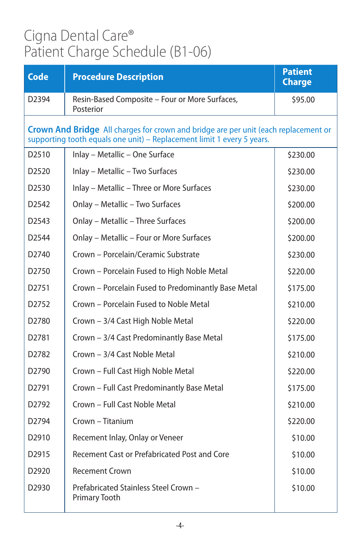| <b>Code</b>       | <b>Procedure Description</b>                                                                                                                                  | <b>Patient</b><br><b>Charge</b> |
|-------------------|---------------------------------------------------------------------------------------------------------------------------------------------------------------|---------------------------------|
| D <sub>2394</sub> | Resin-Based Composite - Four or More Surfaces,<br>Posterior                                                                                                   | \$95.00                         |
|                   | Crown And Bridge All charges for crown and bridge are per unit (each replacement or<br>supporting tooth equals one unit) - Replacement limit 1 every 5 years. |                                 |
| D <sub>2510</sub> | Inlay - Metallic - One Surface                                                                                                                                | \$230.00                        |
| D <sub>2520</sub> | Inlay - Metallic - Two Surfaces                                                                                                                               | \$230.00                        |
| D <sub>2530</sub> | Inlay - Metallic - Three or More Surfaces                                                                                                                     | \$230.00                        |
| D <sub>2542</sub> | Onlay - Metallic - Two Surfaces                                                                                                                               | \$200.00                        |
| D <sub>2543</sub> | Onlay - Metallic - Three Surfaces                                                                                                                             | \$200.00                        |
| D <sub>2544</sub> | Onlay - Metallic - Four or More Surfaces                                                                                                                      | \$200.00                        |
| D <sub>2740</sub> | Crown - Porcelain/Ceramic Substrate                                                                                                                           | \$230.00                        |
| D2750             | Crown - Porcelain Fused to High Noble Metal                                                                                                                   | \$220.00                        |
| D2751             | Crown - Porcelain Fused to Predominantly Base Metal                                                                                                           | \$175.00                        |
| D2752             | Crown - Porcelain Fused to Noble Metal                                                                                                                        | \$210.00                        |
| D <sub>2780</sub> | Crown - 3/4 Cast High Noble Metal                                                                                                                             | \$220.00                        |
| D <sub>2781</sub> | Crown - 3/4 Cast Predominantly Base Metal                                                                                                                     | \$175.00                        |
| D2782             | Crown - 3/4 Cast Noble Metal                                                                                                                                  | \$210.00                        |
| D <sub>2790</sub> | Crown - Full Cast High Noble Metal                                                                                                                            | \$220.00                        |
| D2791             | Crown - Full Cast Predominantly Base Metal                                                                                                                    | \$175.00                        |
| D2792             | Crown - Full Cast Noble Metal                                                                                                                                 | \$210.00                        |
| D <sub>2794</sub> | Crown - Titanium                                                                                                                                              | \$220.00                        |
| D <sub>2910</sub> | Recement Inlay, Onlay or Veneer                                                                                                                               | \$10.00                         |
| D <sub>2915</sub> | Recement Cast or Prefabricated Post and Core                                                                                                                  | \$10.00                         |
| D2920             | <b>Recement Crown</b>                                                                                                                                         | \$10.00                         |
| D2930             | Prefabricated Stainless Steel Crown -<br>Primary Tooth                                                                                                        | \$10.00                         |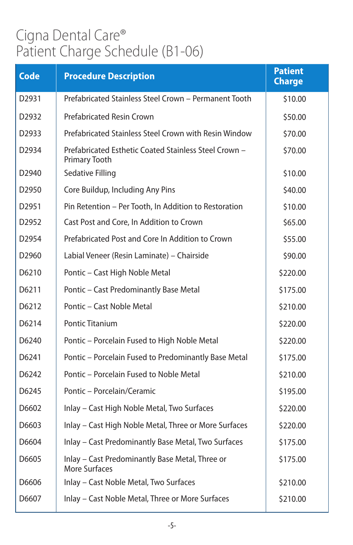| <b>Code</b>       | <b>Procedure Description</b>                                           | <b>Patient</b><br><b>Charge</b> |
|-------------------|------------------------------------------------------------------------|---------------------------------|
| D2931             | Prefabricated Stainless Steel Crown - Permanent Tooth                  | \$10.00                         |
| D <sub>2932</sub> | <b>Prefabricated Resin Crown</b>                                       | \$50.00                         |
| D2933             | Prefabricated Stainless Steel Crown with Resin Window                  | \$70.00                         |
| D2934             | Prefabricated Esthetic Coated Stainless Steel Crown -<br>Primary Tooth | \$70.00                         |
| D <sub>2940</sub> | Sedative Filling                                                       | \$10.00                         |
| D2950             | Core Buildup, Including Any Pins                                       | \$40.00                         |
| D2951             | Pin Retention - Per Tooth, In Addition to Restoration                  | \$10.00                         |
| D <sub>2952</sub> | Cast Post and Core, In Addition to Crown                               | \$65.00                         |
| D <sub>2954</sub> | Prefabricated Post and Core In Addition to Crown                       | \$55.00                         |
| D <sub>2960</sub> | Labial Veneer (Resin Laminate) - Chairside                             | \$90.00                         |
| D6210             | Pontic - Cast High Noble Metal                                         | \$220.00                        |
| D6211             | Pontic - Cast Predominantly Base Metal                                 | \$175.00                        |
| D6212             | Pontic - Cast Noble Metal                                              | \$210.00                        |
| D6214             | <b>Pontic Titanium</b>                                                 | \$220.00                        |
| D6240             | Pontic - Porcelain Fused to High Noble Metal                           | \$220.00                        |
| D6241             | Pontic - Porcelain Fused to Predominantly Base Metal                   | \$175.00                        |
| D6242             | Pontic – Porcelain Fused to Noble Metal                                | \$210.00                        |
| D6245             | Pontic - Porcelain/Ceramic                                             | \$195.00                        |
| D6602             | Inlay - Cast High Noble Metal, Two Surfaces                            | \$220.00                        |
| D6603             | Inlay - Cast High Noble Metal, Three or More Surfaces                  | \$220.00                        |
| D6604             | Inlay - Cast Predominantly Base Metal, Two Surfaces                    | \$175.00                        |
| D6605             | Inlay - Cast Predominantly Base Metal, Three or<br>More Surfaces       | \$175.00                        |
| D6606             | Inlay - Cast Noble Metal, Two Surfaces                                 | \$210.00                        |
| D6607             | Inlay - Cast Noble Metal, Three or More Surfaces                       | \$210.00                        |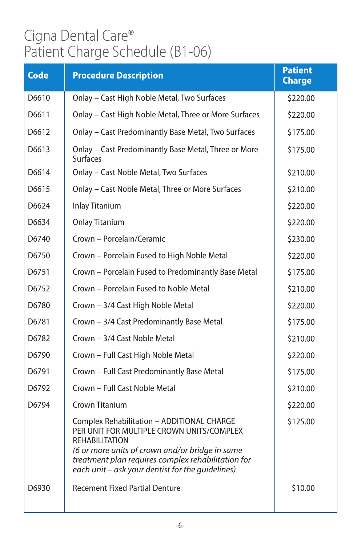| <b>Code</b> | <b>Procedure Description</b>                                                                                                                                                                                                                                                  | <b>Patient</b><br><b>Charge</b> |
|-------------|-------------------------------------------------------------------------------------------------------------------------------------------------------------------------------------------------------------------------------------------------------------------------------|---------------------------------|
| D6610       | Onlay - Cast High Noble Metal, Two Surfaces                                                                                                                                                                                                                                   | \$220.00                        |
| D6611       | Onlay - Cast High Noble Metal, Three or More Surfaces                                                                                                                                                                                                                         | \$220.00                        |
| D6612       | Onlay - Cast Predominantly Base Metal, Two Surfaces                                                                                                                                                                                                                           | \$175.00                        |
| D6613       | Onlay - Cast Predominantly Base Metal, Three or More<br><b>Surfaces</b>                                                                                                                                                                                                       | \$175.00                        |
| D6614       | Onlay - Cast Noble Metal, Two Surfaces                                                                                                                                                                                                                                        | \$210.00                        |
| D6615       | Onlay - Cast Noble Metal, Three or More Surfaces                                                                                                                                                                                                                              | \$210.00                        |
| D6624       | <b>Inlay Titanium</b>                                                                                                                                                                                                                                                         | \$220.00                        |
| D6634       | <b>Onlay Titanium</b>                                                                                                                                                                                                                                                         | \$220.00                        |
| D6740       | Crown - Porcelain/Ceramic                                                                                                                                                                                                                                                     | \$230.00                        |
| D6750       | Crown - Porcelain Fused to High Noble Metal                                                                                                                                                                                                                                   | \$220.00                        |
| D6751       | Crown - Porcelain Fused to Predominantly Base Metal                                                                                                                                                                                                                           | \$175.00                        |
| D6752       | Crown - Porcelain Fused to Noble Metal                                                                                                                                                                                                                                        | \$210.00                        |
| D6780       | Crown - 3/4 Cast High Noble Metal                                                                                                                                                                                                                                             | \$220.00                        |
| D6781       | Crown - 3/4 Cast Predominantly Base Metal                                                                                                                                                                                                                                     | \$175.00                        |
| D6782       | Crown - 3/4 Cast Noble Metal                                                                                                                                                                                                                                                  | \$210.00                        |
| D6790       | Crown - Full Cast High Noble Metal                                                                                                                                                                                                                                            | \$220.00                        |
| D6791       | Crown - Full Cast Predominantly Base Metal                                                                                                                                                                                                                                    | \$175.00                        |
| D6792       | Crown - Full Cast Noble Metal                                                                                                                                                                                                                                                 | \$210.00                        |
| D6794       | Crown Titanium                                                                                                                                                                                                                                                                | \$220.00                        |
|             | Complex Rehabilitation - ADDITIONAL CHARGE<br>PER UNIT FOR MULTIPLE CROWN UNITS/COMPLEX<br><b>REHABILITATION</b><br>(6 or more units of crown and/or bridge in same<br>treatment plan requires complex rehabilitation for<br>each unit - ask your dentist for the quidelines) | \$125.00                        |
| D6930       | <b>Recement Fixed Partial Denture</b>                                                                                                                                                                                                                                         | \$10.00                         |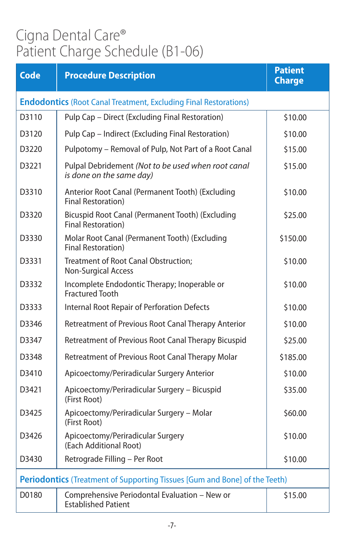| <b>Code</b>                                                                | <b>Procedure Description</b>                                                   | <b>Patient</b><br><b>Charge</b> |
|----------------------------------------------------------------------------|--------------------------------------------------------------------------------|---------------------------------|
| <b>Endodontics</b> (Root Canal Treatment, Excluding Final Restorations)    |                                                                                |                                 |
| D3110                                                                      | Pulp Cap - Direct (Excluding Final Restoration)                                | \$10.00                         |
| D3120                                                                      | Pulp Cap - Indirect (Excluding Final Restoration)                              | \$10.00                         |
| D3220                                                                      | Pulpotomy - Removal of Pulp, Not Part of a Root Canal                          | \$15.00                         |
| D3221                                                                      | Pulpal Debridement (Not to be used when root canal<br>is done on the same day) | \$15.00                         |
| D3310                                                                      | Anterior Root Canal (Permanent Tooth) (Excluding<br><b>Final Restoration</b> ) | \$10.00                         |
| D3320                                                                      | Bicuspid Root Canal (Permanent Tooth) (Excluding<br><b>Final Restoration)</b>  | \$25.00                         |
| D3330                                                                      | Molar Root Canal (Permanent Tooth) (Excluding<br>Final Restoration)            | \$150.00                        |
| D3331                                                                      | Treatment of Root Canal Obstruction;<br><b>Non-Surgical Access</b>             | \$10.00                         |
| D3332                                                                      | Incomplete Endodontic Therapy; Inoperable or<br><b>Fractured Tooth</b>         | \$10.00                         |
| D3333                                                                      | Internal Root Repair of Perforation Defects                                    | \$10.00                         |
| D3346                                                                      | Retreatment of Previous Root Canal Therapy Anterior                            | \$10.00                         |
| D3347                                                                      | Retreatment of Previous Root Canal Therapy Bicuspid                            | \$25.00                         |
| D3348                                                                      | Retreatment of Previous Root Canal Therapy Molar                               | \$185.00                        |
| D3410                                                                      | Apicoectomy/Periradicular Surgery Anterior                                     | \$10.00                         |
| D3421                                                                      | Apicoectomy/Periradicular Surgery - Bicuspid<br>(First Root)                   | \$35.00                         |
| D3425                                                                      | Apicoectomy/Periradicular Surgery - Molar<br>(First Root)                      | \$60.00                         |
| D3426                                                                      | Apicoectomy/Periradicular Surgery<br>(Each Additional Root)                    | \$10.00                         |
| D3430                                                                      | Retrograde Filling - Per Root                                                  | \$10.00                         |
| Periodontics (Treatment of Supporting Tissues [Gum and Bone] of the Teeth) |                                                                                |                                 |
| D0180                                                                      | Comprehensive Periodontal Evaluation - New or<br><b>Established Patient</b>    | \$15.00                         |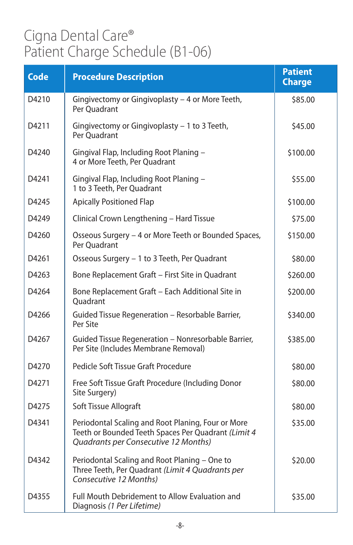| <b>Code</b> | <b>Procedure Description</b>                                                                                                                      | <b>Patient</b><br><b>Charge</b> |
|-------------|---------------------------------------------------------------------------------------------------------------------------------------------------|---------------------------------|
| D4210       | Gingivectomy or Gingivoplasty - 4 or More Teeth,<br>Per Quadrant                                                                                  | \$85.00                         |
| D4211       | Gingivectomy or Gingivoplasty - 1 to 3 Teeth,<br>Per Ouadrant                                                                                     | \$45.00                         |
| D4240       | Gingival Flap, Including Root Planing -<br>4 or More Teeth, Per Quadrant                                                                          | \$100.00                        |
| D4241       | Gingival Flap, Including Root Planing -<br>1 to 3 Teeth, Per Quadrant                                                                             | \$55.00                         |
| D4245       | <b>Apically Positioned Flap</b>                                                                                                                   | \$100.00                        |
| D4249       | Clinical Crown Lengthening - Hard Tissue                                                                                                          | \$75.00                         |
| D4260       | Osseous Surgery - 4 or More Teeth or Bounded Spaces,<br>Per Quadrant                                                                              | \$150.00                        |
| D4261       | Osseous Surgery - 1 to 3 Teeth, Per Quadrant                                                                                                      | \$80.00                         |
| D4263       | Bone Replacement Graft - First Site in Quadrant                                                                                                   | \$260.00                        |
| D4264       | Bone Replacement Graft - Each Additional Site in<br>Ouadrant                                                                                      | \$200.00                        |
| D4266       | Guided Tissue Regeneration - Resorbable Barrier,<br>Per Site                                                                                      | \$340.00                        |
| D4267       | Guided Tissue Regeneration - Nonresorbable Barrier,<br>Per Site (Includes Membrane Removal)                                                       | \$385.00                        |
| D4270       | Pedicle Soft Tissue Graft Procedure                                                                                                               | \$80.00                         |
| D4271       | Free Soft Tissue Graft Procedure (Including Donor<br>Site Surgery)                                                                                | \$80.00                         |
| D4275       | Soft Tissue Allograft                                                                                                                             | \$80.00                         |
| D4341       | Periodontal Scaling and Root Planing, Four or More<br>Teeth or Bounded Teeth Spaces Per Quadrant (Limit 4<br>Quadrants per Consecutive 12 Months) | \$35.00                         |
| D4342       | Periodontal Scaling and Root Planing - One to<br>Three Teeth, Per Quadrant (Limit 4 Quadrants per<br>Consecutive 12 Months)                       | \$20.00                         |
| D4355       | Full Mouth Debridement to Allow Evaluation and<br>Diagnosis (1 Per Lifetime)                                                                      | \$35.00                         |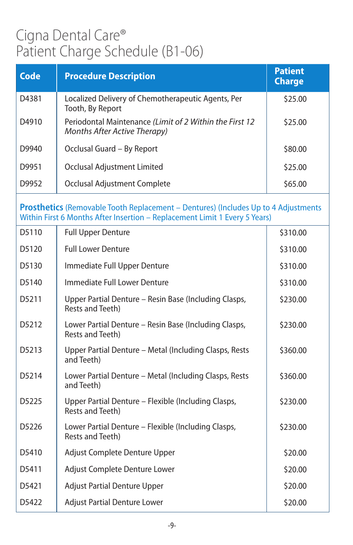| <b>Code</b> | <b>Procedure Description</b>                                                                                                                                            | <b>Patient</b><br><b>Charge</b> |
|-------------|-------------------------------------------------------------------------------------------------------------------------------------------------------------------------|---------------------------------|
| D4381       | Localized Delivery of Chemotherapeutic Agents, Per<br>Tooth, By Report                                                                                                  | \$25.00                         |
| D4910       | Periodontal Maintenance (Limit of 2 Within the First 12<br>Months After Active Therapy)                                                                                 | \$25.00                         |
| D9940       | Occlusal Guard - By Report                                                                                                                                              | \$80.00                         |
| D9951       | Occlusal Adjustment Limited                                                                                                                                             | \$25.00                         |
| D9952       | Occlusal Adjustment Complete                                                                                                                                            | \$65.00                         |
|             | <b>Prosthetics</b> (Removable Tooth Replacement – Dentures) (Includes Up to 4 Adjustments<br>Within First 6 Months After Insertion - Replacement Limit 1 Every 5 Years) |                                 |
| D5110       | <b>Full Upper Denture</b>                                                                                                                                               | \$310.00                        |
| D5120       | <b>Full Lower Denture</b>                                                                                                                                               | \$310.00                        |
| D5130       | Immediate Full Upper Denture                                                                                                                                            | \$310.00                        |
| D5140       | Immediate Full Lower Denture                                                                                                                                            | \$310.00                        |
| D5211       | Upper Partial Denture - Resin Base (Including Clasps,<br>Rests and Teeth)                                                                                               | \$230.00                        |
| D5212       | Lower Partial Denture - Resin Base (Including Clasps,<br>Rests and Teeth)                                                                                               | \$230.00                        |
| D5213       | Upper Partial Denture - Metal (Including Clasps, Rests<br>and Teeth)                                                                                                    | \$360.00                        |
| D5214       | Lower Partial Denture - Metal (Including Clasps, Rests<br>and Teeth)                                                                                                    | \$360.00                        |
| D5225       | Upper Partial Denture - Flexible (Including Clasps,<br>Rests and Teeth)                                                                                                 | \$230.00                        |
| D5226       | Lower Partial Denture - Flexible (Including Clasps,<br>Rests and Teeth)                                                                                                 | \$230.00                        |
| D5410       | Adjust Complete Denture Upper                                                                                                                                           | \$20.00                         |
| D5411       | Adjust Complete Denture Lower                                                                                                                                           | \$20.00                         |
| D5421       | <b>Adjust Partial Denture Upper</b>                                                                                                                                     | \$20.00                         |
| D5422       | <b>Adjust Partial Denture Lower</b>                                                                                                                                     | \$20.00                         |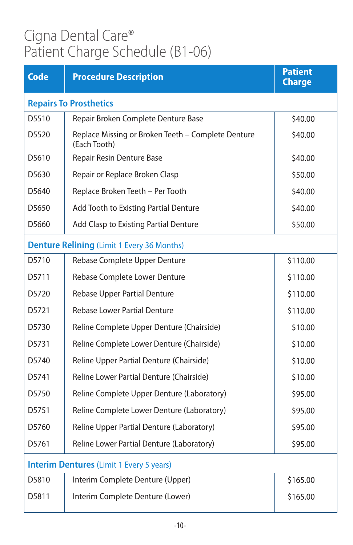| <b>Code</b>                                     | <b>Procedure Description</b>                                       | <b>Patient</b><br><b>Charge</b> |
|-------------------------------------------------|--------------------------------------------------------------------|---------------------------------|
| <b>Repairs To Prosthetics</b>                   |                                                                    |                                 |
| D5510                                           | Repair Broken Complete Denture Base                                | \$40.00                         |
| D5520                                           | Replace Missing or Broken Teeth - Complete Denture<br>(Each Tooth) | \$40.00                         |
| D5610                                           | Repair Resin Denture Base                                          | \$40.00                         |
| D5630                                           | Repair or Replace Broken Clasp                                     | \$50.00                         |
| D5640                                           | Replace Broken Teeth - Per Tooth                                   | \$40.00                         |
| D5650                                           | Add Tooth to Existing Partial Denture                              | \$40.00                         |
| D5660                                           | Add Clasp to Existing Partial Denture                              | \$50.00                         |
|                                                 | <b>Denture Relining (Limit 1 Every 36 Months)</b>                  |                                 |
| D5710                                           | Rebase Complete Upper Denture                                      | \$110.00                        |
| D5711                                           | Rebase Complete Lower Denture                                      | \$110.00                        |
| D5720                                           | Rebase Upper Partial Denture                                       | \$110.00                        |
| D5721                                           | Rebase Lower Partial Denture                                       | \$110.00                        |
| D5730                                           | Reline Complete Upper Denture (Chairside)                          | \$10.00                         |
| D5731                                           | Reline Complete Lower Denture (Chairside)                          | \$10.00                         |
| D <sub>5740</sub>                               | Reline Upper Partial Denture (Chairside)                           | \$10.00                         |
| D5741                                           | Reline Lower Partial Denture (Chairside)                           | \$10.00                         |
| D5750                                           | Reline Complete Upper Denture (Laboratory)                         | \$95.00                         |
| D5751                                           | Reline Complete Lower Denture (Laboratory)                         | \$95.00                         |
| D5760                                           | Reline Upper Partial Denture (Laboratory)                          | \$95.00                         |
| D5761                                           | Reline Lower Partial Denture (Laboratory)                          | \$95.00                         |
| <b>Interim Dentures</b> (Limit 1 Every 5 years) |                                                                    |                                 |
| D5810                                           | Interim Complete Denture (Upper)                                   | \$165.00                        |
| D5811                                           | Interim Complete Denture (Lower)                                   | \$165.00                        |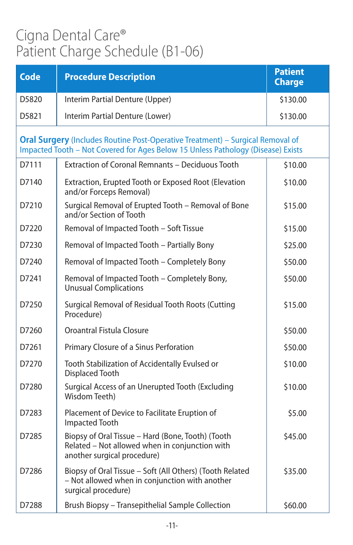| <b>Code</b> | <b>Procedure Description</b>                                                                                                                                              | <b>Patient</b><br><b>Charge</b> |
|-------------|---------------------------------------------------------------------------------------------------------------------------------------------------------------------------|---------------------------------|
| D5820       | Interim Partial Denture (Upper)                                                                                                                                           | \$130.00                        |
| D5821       | Interim Partial Denture (Lower)                                                                                                                                           | \$130.00                        |
|             | <b>Oral Surgery</b> (Includes Routine Post-Operative Treatment) - Surgical Removal of<br>Impacted Tooth - Not Covered for Ages Below 15 Unless Pathology (Disease) Exists |                                 |
| D7111       | <b>Extraction of Coronal Remnants - Deciduous Tooth</b>                                                                                                                   | \$10.00                         |
| D7140       | Extraction, Erupted Tooth or Exposed Root (Elevation<br>and/or Forceps Removal)                                                                                           | \$10.00                         |
| D7210       | Surgical Removal of Erupted Tooth - Removal of Bone<br>and/or Section of Tooth                                                                                            | \$15.00                         |
| D7220       | Removal of Impacted Tooth - Soft Tissue                                                                                                                                   | \$15.00                         |
| D7230       | Removal of Impacted Tooth - Partially Bony                                                                                                                                | \$25.00                         |
| D7240       | Removal of Impacted Tooth - Completely Bony                                                                                                                               | \$50.00                         |
| D7241       | Removal of Impacted Tooth - Completely Bony,<br><b>Unusual Complications</b>                                                                                              | \$50.00                         |
| D7250       | Surgical Removal of Residual Tooth Roots (Cutting<br>Procedure)                                                                                                           | \$15.00                         |
| D7260       | Oroantral Fistula Closure                                                                                                                                                 | \$50.00                         |
| D7261       | Primary Closure of a Sinus Perforation                                                                                                                                    | \$50.00                         |
| D7270       | Tooth Stabilization of Accidentally Evulsed or<br><b>Displaced Tooth</b>                                                                                                  | \$10.00                         |
| D7280       | Surgical Access of an Unerupted Tooth (Excluding<br>Wisdom Teeth)                                                                                                         | \$10.00                         |
| D7283       | Placement of Device to Facilitate Eruption of<br><b>Impacted Tooth</b>                                                                                                    | \$5.00                          |
| D7285       | Biopsy of Oral Tissue - Hard (Bone, Tooth) (Tooth<br>Related - Not allowed when in conjunction with<br>another surgical procedure)                                        | \$45.00                         |
| D7286       | Biopsy of Oral Tissue - Soft (All Others) (Tooth Related<br>- Not allowed when in conjunction with another<br>surgical procedure)                                         | \$35.00                         |
| D7288       | Brush Biopsy - Transepithelial Sample Collection                                                                                                                          | \$60.00                         |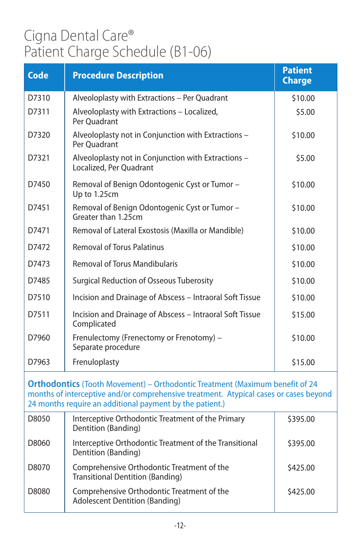| <b>Code</b> | <b>Procedure Description</b>                                                   | <b>Patient</b><br><b>Charge</b> |
|-------------|--------------------------------------------------------------------------------|---------------------------------|
| D7310       | Alveoloplasty with Extractions - Per Quadrant                                  | \$10.00                         |
| D7311       | Alveoloplasty with Extractions - Localized,<br>Per Ouadrant                    | \$5.00                          |
| D7320       | Alveoloplasty not in Conjunction with Extractions -<br>Per Ouadrant            | \$10.00                         |
| D7321       | Alveoloplasty not in Conjunction with Extractions -<br>Localized, Per Quadrant | \$5.00                          |
| D7450       | Removal of Benign Odontogenic Cyst or Tumor -<br>Up to 1.25cm                  | \$10.00                         |
| D7451       | Removal of Benign Odontogenic Cyst or Tumor -<br>Greater than 1.25cm           | \$10.00                         |
| D7471       | Removal of Lateral Exostosis (Maxilla or Mandible)                             | \$10.00                         |
| D7472       | <b>Removal of Torus Palatinus</b>                                              | \$10.00                         |
| D7473       | <b>Removal of Torus Mandibularis</b>                                           | \$10.00                         |
| D7485       | <b>Surgical Reduction of Osseous Tuberosity</b>                                | \$10.00                         |
| D7510       | Incision and Drainage of Abscess - Intraoral Soft Tissue                       | \$10.00                         |
| D7511       | Incision and Drainage of Abscess - Intraoral Soft Tissue<br>Complicated        | \$15.00                         |
| D7960       | Frenulectomy (Frenectomy or Frenotomy) -<br>Separate procedure                 | \$10.00                         |
| D7963       | Frenuloplasty                                                                  | \$15.00                         |

**Orthodontics** (Tooth Movement) – Orthodontic Treatment (Maximum benefit of 24 months of interceptive and/or comprehensive treatment. Atypical cases or cases beyond 24 months require an additional payment by the patient.)

| D8050 | Interceptive Orthodontic Treatment of the Primary<br>Dentition (Banding)              | \$395.00 |
|-------|---------------------------------------------------------------------------------------|----------|
| D8060 | Interceptive Orthodontic Treatment of the Transitional<br>Dentition (Banding)         | \$395.00 |
| D8070 | Comprehensive Orthodontic Treatment of the<br><b>Transitional Dentition (Banding)</b> | \$425.00 |
| D8080 | Comprehensive Orthodontic Treatment of the<br><b>Adolescent Dentition (Banding)</b>   | \$425.00 |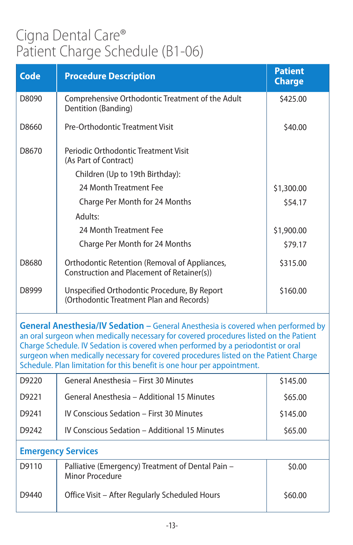| <b>Code</b>                                                                                                                                                                                                                                                                                                                                                                                                                      | <b>Procedure Description</b>                                                                | <b>Patient</b><br><b>Charge</b> |
|----------------------------------------------------------------------------------------------------------------------------------------------------------------------------------------------------------------------------------------------------------------------------------------------------------------------------------------------------------------------------------------------------------------------------------|---------------------------------------------------------------------------------------------|---------------------------------|
| D8090                                                                                                                                                                                                                                                                                                                                                                                                                            | Comprehensive Orthodontic Treatment of the Adult<br>Dentition (Banding)                     | \$425.00                        |
| D8660                                                                                                                                                                                                                                                                                                                                                                                                                            | Pre-Orthodontic Treatment Visit                                                             | \$40.00                         |
| D8670                                                                                                                                                                                                                                                                                                                                                                                                                            | Periodic Orthodontic Treatment Visit<br>(As Part of Contract)                               |                                 |
|                                                                                                                                                                                                                                                                                                                                                                                                                                  | Children (Up to 19th Birthday):                                                             |                                 |
|                                                                                                                                                                                                                                                                                                                                                                                                                                  | 24 Month Treatment Fee                                                                      | \$1,300.00                      |
|                                                                                                                                                                                                                                                                                                                                                                                                                                  | Charge Per Month for 24 Months                                                              | \$54.17                         |
|                                                                                                                                                                                                                                                                                                                                                                                                                                  | Adults:                                                                                     |                                 |
|                                                                                                                                                                                                                                                                                                                                                                                                                                  | 24 Month Treatment Fee                                                                      | \$1,900.00                      |
|                                                                                                                                                                                                                                                                                                                                                                                                                                  | Charge Per Month for 24 Months                                                              | \$79.17                         |
| D8680                                                                                                                                                                                                                                                                                                                                                                                                                            | Orthodontic Retention (Removal of Appliances,<br>Construction and Placement of Retainer(s)) | \$315.00                        |
| D8999                                                                                                                                                                                                                                                                                                                                                                                                                            | Unspecified Orthodontic Procedure, By Report<br>(Orthodontic Treatment Plan and Records)    | \$160.00                        |
| General Anesthesia/IV Sedation - General Anesthesia is covered when performed by<br>an oral surgeon when medically necessary for covered procedures listed on the Patient<br>Charge Schedule. IV Sedation is covered when performed by a periodontist or oral<br>surgeon when medically necessary for covered procedures listed on the Patient Charge<br>Schedule. Plan limitation for this benefit is one hour per appointment. |                                                                                             |                                 |
| D9220                                                                                                                                                                                                                                                                                                                                                                                                                            | General Anesthesia - First 30 Minutes                                                       | \$145.00                        |
| D9221                                                                                                                                                                                                                                                                                                                                                                                                                            | General Anesthesia - Additional 15 Minutes                                                  | \$65.00                         |
| D9241                                                                                                                                                                                                                                                                                                                                                                                                                            | IV Conscious Sedation - First 30 Minutes                                                    | \$145.00                        |
| D9242                                                                                                                                                                                                                                                                                                                                                                                                                            | IV Conscious Sedation - Additional 15 Minutes                                               | \$65.00                         |
| <b>Emergency Services</b>                                                                                                                                                                                                                                                                                                                                                                                                        |                                                                                             |                                 |
| D9110                                                                                                                                                                                                                                                                                                                                                                                                                            | Palliative (Emergency) Treatment of Dental Pain -<br><b>Minor Procedure</b>                 | \$0.00                          |
| D9440                                                                                                                                                                                                                                                                                                                                                                                                                            | Office Visit - After Regularly Scheduled Hours                                              | \$60.00                         |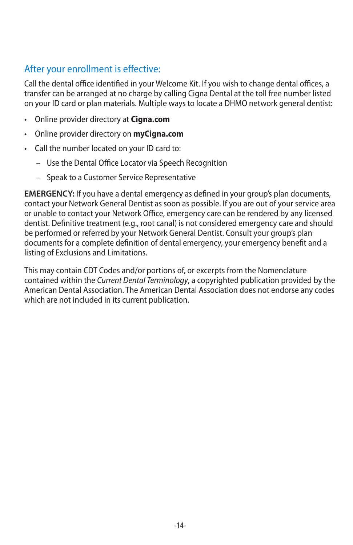#### After your enrollment is effective:

Call the dental office identified in your Welcome Kit. If you wish to change dental offices, a transfer can be arranged at no charge by calling Cigna Dental at the toll free number listed on your ID card or plan materials. Multiple ways to locate a DHMO network general dentist:

- • Online provider directory at **Cigna.com**
- • Online provider directory on **myCigna.com**
- Call the number located on your ID card to:
	- Use the Dental Office Locator via Speech Recognition
	- – Speak to a Customer Service Representative

**EMERGENCY:** If you have a dental emergency as defined in your group's plan documents, contact your Network General Dentist as soon as possible. If you are out of your service area or unable to contact your Network Office, emergency care can be rendered by any licensed dentist. Definitive treatment (e.g., root canal) is not considered emergency care and should be performed or referred by your Network General Dentist. Consult your group's plan documents for a complete definition of dental emergency, your emergency benefit and a listing of Exclusions and Limitations.

This may contain CDT Codes and/or portions of, or excerpts from the Nomenclature contained within the *Current Dental Terminology*, a copyrighted publication provided by the American Dental Association. The American Dental Association does not endorse any codes which are not included in its current publication.